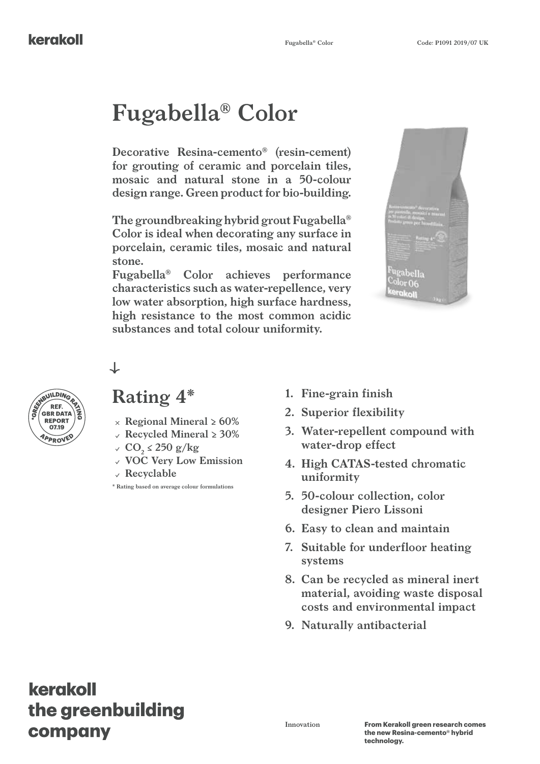# **Fugabella® Color**

**Decorative Resina-cemento® (resin-cement) for grouting of ceramic and porcelain tiles, mosaic and natural stone in a 50-colour design range. Green product for bio-building.**

**The groundbreaking hybrid grout Fugabella® Color is ideal when decorating any surface in porcelain, ceramic tiles, mosaic and natural stone.** 

**Fugabella® Color achieves performance characteristics such as water-repellence, very low water absorption, high surface hardness, high resistance to the most common acidic substances and total colour uniformity.**





#### **Rating 4\***

↓

- **Regional Mineral ≥ 60%**
- **Recycled Mineral ≥ 30%**
- $CO_2 \le 250 \frac{\text{g}}{\text{kg}}$
- **VOC Very Low Emission**
- **Recyclable**

**\* Rating based on average colour formulations**

- **1. Fine-grain finish**
- **2. Superior flexibility**
- **3. Water-repellent compound with water-drop effect**
- **4. High CATAS-tested chromatic uniformity**
- **5. 50-colour collection, color designer Piero Lissoni**
- **6. Easy to clean and maintain**
- **7. Suitable for underfloor heating systems**
- **8. Can be recycled as mineral inert material, avoiding waste disposal costs and environmental impact**
- **9. Naturally antibacterial**

# kerakoll the greenbuilding company

**Innovation**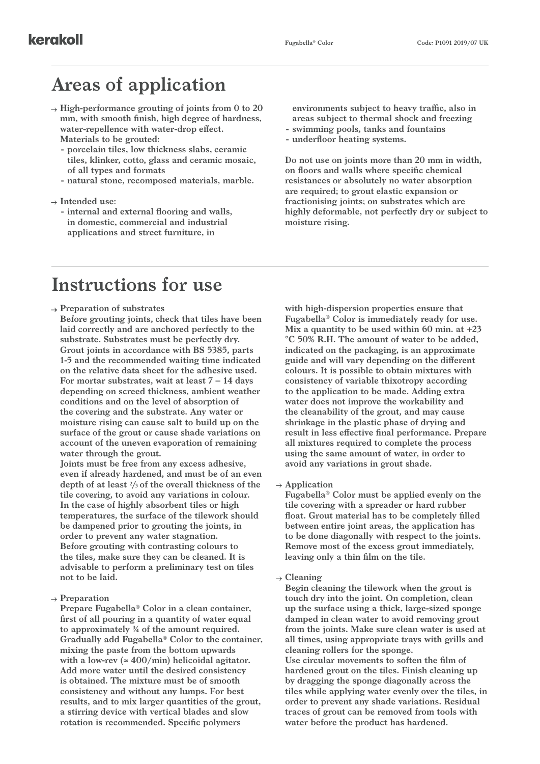### **Areas of application**

- **High-performance grouting of joints from 0 to 20 mm, with smooth finish, high degree of hardness, water-repellence with water-drop effect. Materials to be grouted:**
	- **- porcelain tiles, low thickness slabs, ceramic tiles, klinker, cotto, glass and ceramic mosaic, of all types and formats**
	- **- natural stone, recomposed materials, marble.**

#### **Intended use:**

**- internal and external flooring and walls, in domestic, commercial and industrial applications and street furniture, in** 

**environments subject to heavy traffic, also in areas subject to thermal shock and freezing**

- **- swimming pools, tanks and fountains**
- **- underfloor heating systems.**

**Do not use on joints more than 20 mm in width, on floors and walls where specific chemical resistances or absolutely no water absorption are required; to grout elastic expansion or fractionising joints; on substrates which are highly deformable, not perfectly dry or subject to moisture rising.**

#### **Instructions for use**

**Preparation of substrates**

**Before grouting joints, check that tiles have been laid correctly and are anchored perfectly to the substrate. Substrates must be perfectly dry. Grout joints in accordance with BS 5385, parts 1-5 and the recommended waiting time indicated on the relative data sheet for the adhesive used. For mortar substrates, wait at least 7 – 14 days depending on screed thickness, ambient weather conditions and on the level of absorption of the covering and the substrate. Any water or moisture rising can cause salt to build up on the surface of the grout or cause shade variations on account of the uneven evaporation of remaining water through the grout.**

**Joints must be free from any excess adhesive, even if already hardened, and must be of an even depth of at least 2/3 of the overall thickness of the tile covering, to avoid any variations in colour. In the case of highly absorbent tiles or high temperatures, the surface of the tilework should be dampened prior to grouting the joints, in order to prevent any water stagnation. Before grouting with contrasting colours to the tiles, make sure they can be cleaned. It is advisable to perform a preliminary test on tiles not to be laid.**

**Preparation**

**Prepare Fugabella® Color in a clean container, first of all pouring in a quantity of water equal to approximately ¾ of the amount required. Gradually add Fugabella® Color to the container, mixing the paste from the bottom upwards with a low-rev (≈ 400/min) helicoidal agitator. Add more water until the desired consistency is obtained. The mixture must be of smooth consistency and without any lumps. For best results, and to mix larger quantities of the grout, a stirring device with vertical blades and slow rotation is recommended. Specific polymers** 

**with high-dispersion properties ensure that Fugabella® Color is immediately ready for use. Mix a quantity to be used within 60 min. at +23 °C 50% R.H. The amount of water to be added, indicated on the packaging, is an approximate guide and will vary depending on the different colours. It is possible to obtain mixtures with consistency of variable thixotropy according to the application to be made. Adding extra water does not improve the workability and the cleanability of the grout, and may cause shrinkage in the plastic phase of drying and result in less effective final performance. Prepare all mixtures required to complete the process using the same amount of water, in order to avoid any variations in grout shade.**

**Application**

**Fugabella® Color must be applied evenly on the tile covering with a spreader or hard rubber float. Grout material has to be completely filled between entire joint areas, the application has to be done diagonally with respect to the joints. Remove most of the excess grout immediately, leaving only a thin film on the tile.**

**Cleaning**

**Begin cleaning the tilework when the grout is touch dry into the joint. On completion, clean up the surface using a thick, large-sized sponge damped in clean water to avoid removing grout from the joints. Make sure clean water is used at all times, using appropriate trays with grills and cleaning rollers for the sponge. Use circular movements to soften the film of hardened grout on the tiles. Finish cleaning up by dragging the sponge diagonally across the tiles while applying water evenly over the tiles, in order to prevent any shade variations. Residual traces of grout can be removed from tools with water before the product has hardened.**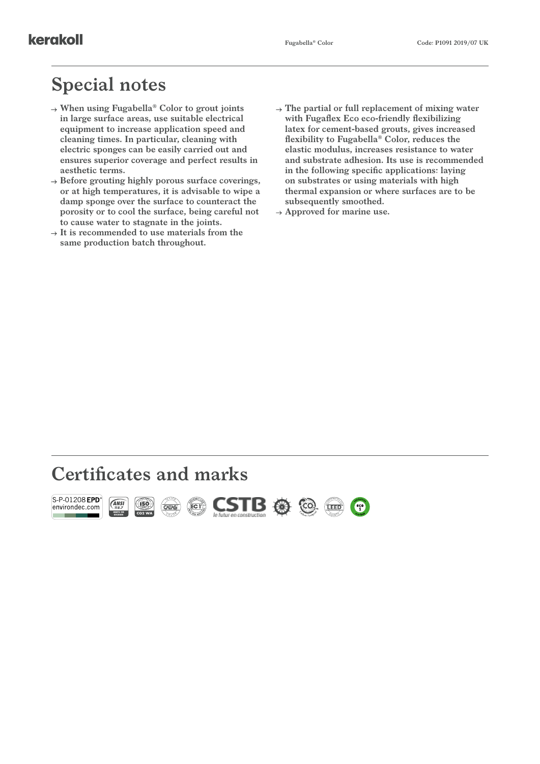# **Special notes**

- **When using Fugabella® Color to grout joints in large surface areas, use suitable electrical equipment to increase application speed and cleaning times. In particular, cleaning with electric sponges can be easily carried out and ensures superior coverage and perfect results in aesthetic terms.**
- **Before grouting highly porous surface coverings, or at high temperatures, it is advisable to wipe a damp sponge over the surface to counteract the porosity or to cool the surface, being careful not to cause water to stagnate in the joints.**
- $\rightarrow$  It is recommended to use materials from the **same production batch throughout.**
- **The partial or full replacement of mixing water with Fugaflex Eco eco-friendly flexibilizing latex for cement-based grouts, gives increased flexibility to Fugabella® Color, reduces the elastic modulus, increases resistance to water and substrate adhesion. Its use is recommended in the following specific applications: laying on substrates or using materials with high thermal expansion or where surfaces are to be subsequently smoothed.**
- **Approved for marine use.**

## **Certificates and marks**

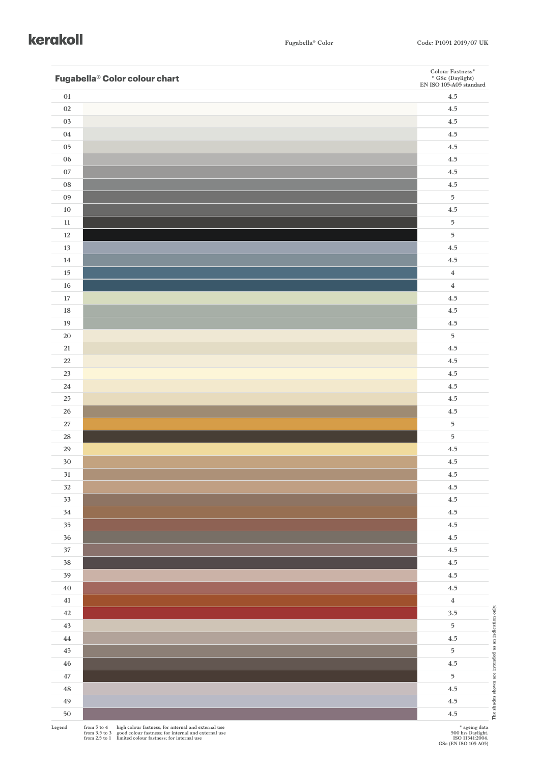#### kerakoll

| Fugabella <sup>®</sup> Color colour chart | ${\bf Color \; Fastness}^*$<br>* GSc (Daylight)<br>EN ISO 105-A05 standard |
|-------------------------------------------|----------------------------------------------------------------------------|
| $0 \\ 1$                                  | 4.5                                                                        |
| $02\,$                                    | $4.5\,$                                                                    |
| 03                                        | $4.5\,$                                                                    |
| $04\,$                                    | 4.5                                                                        |
| $05\,$                                    | 4.5                                                                        |
| $06\,$                                    | 4.5                                                                        |
| $07\,$                                    | 4.5                                                                        |
| ${\bf 08}$                                | 4.5                                                                        |
| 09                                        | $\overline{5}$                                                             |
| $10\,$                                    | 4.5                                                                        |
| 11                                        | $\sqrt{5}$                                                                 |
| 12                                        | $\overline{5}$                                                             |
| $13$                                      | 4.5                                                                        |
| $14\,$                                    | 4.5                                                                        |
| $15\,$                                    | $\bf{4}$                                                                   |
| $16\,$                                    | $\bf{4}$                                                                   |
| 17                                        | 4.5                                                                        |
| 18                                        | 4.5                                                                        |
| $19\,$                                    | 4.5                                                                        |
| $20\,$                                    | $\overline{5}$                                                             |
| $21\,$                                    | 4.5                                                                        |
| $22\,$                                    | 4.5                                                                        |
| $23\,$                                    | 4.5                                                                        |
| $24\,$                                    | 4.5                                                                        |
| $25\,$                                    | 4.5                                                                        |
| $26\,$                                    | 4.5                                                                        |
| $27\,$                                    | $\sqrt{5}$                                                                 |
| 28                                        | $\overline{5}$                                                             |
| $29\,$                                    | $4.5\,$                                                                    |
| $30\,$                                    | 4.5                                                                        |
| $31\,$                                    | $4.5\,$                                                                    |
| $32\,$                                    | $4.5\,$                                                                    |
| $33\,$                                    | 4.5                                                                        |
| $34\,$                                    | $4.5\,$                                                                    |
| $35\,$                                    | $4.5\,$                                                                    |
| $36\,$                                    | $4.5\,$                                                                    |
| $37\,$                                    | $4.5\,$                                                                    |
| $38\,$                                    | $4.5\,$                                                                    |
| 39                                        | 4.5                                                                        |
| $40\,$                                    | $4.5\,$                                                                    |
| $\bf 41$                                  | $\bf{4}$                                                                   |
| $42\,$                                    | $3.5\,$                                                                    |
| $43\,$                                    | The shades shown are intended as an indication only.<br>$\overline{5}$     |
| $\bf 44$                                  | 4.5                                                                        |
| $45\,$                                    | $\mathbf 5$                                                                |
| $\bf 46$                                  | 4.5                                                                        |
| $47\,$                                    | $\overline{5}$                                                             |
| $\bf 48$                                  | 4.5                                                                        |
| 49                                        | 4.5                                                                        |
| $50\,$                                    | $4.5\,$                                                                    |
|                                           |                                                                            |

Legend from 5 to 4 high colour fastness; for internal and external use<br>from 3.5 to 3 good colour fastness; for internal and external use<br>from 2.5 to 1 limited colour fastness; for internal use

**\* ageing data 500 hrs Daylight. ISO 11341:2004. GSc (EN ISO 105 A05)**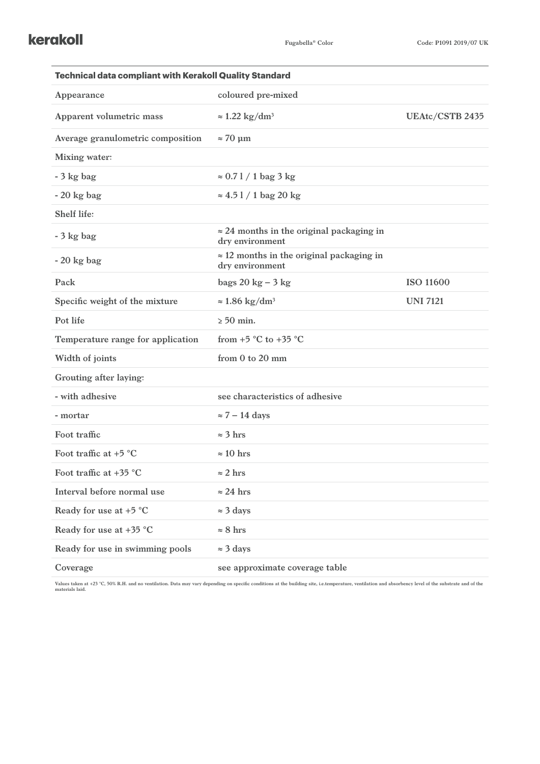| <b>Technical data compliant with Kerakoll Quality Standard</b> |                                                                     |                  |  |
|----------------------------------------------------------------|---------------------------------------------------------------------|------------------|--|
| Appearance                                                     | coloured pre-mixed                                                  |                  |  |
| Apparent volumetric mass                                       | $\approx 1.22$ kg/dm <sup>3</sup>                                   | UEAtc/CSTB 2435  |  |
| Average granulometric composition                              | $\approx 70 \text{ }\mu\text{m}$                                    |                  |  |
| <b>Mixing water:</b>                                           |                                                                     |                  |  |
| $-3$ kg bag                                                    | $\approx 0.71 / 1$ bag 3 kg                                         |                  |  |
| $-20$ kg bag                                                   | $\approx 4.51 / 1$ bag 20 kg                                        |                  |  |
| Shelf life:                                                    |                                                                     |                  |  |
| $-3$ kg bag                                                    | $\approx$ 24 months in the original packaging in<br>dry environment |                  |  |
| $-20$ kg bag                                                   | $\approx$ 12 months in the original packaging in<br>dry environment |                  |  |
| Pack                                                           | bags $20 \text{ kg} - 3 \text{ kg}$                                 | <b>ISO 11600</b> |  |
| Specific weight of the mixture                                 | $\approx 1.86 \text{ kg/dm}^3$                                      | <b>UNI 7121</b>  |  |
| Pot life                                                       | $> 50$ min.                                                         |                  |  |
| Temperature range for application                              | from $+5$ °C to $+35$ °C                                            |                  |  |
| Width of joints                                                | from 0 to 20 mm                                                     |                  |  |
| Grouting after laying:                                         |                                                                     |                  |  |
| - with adhesive                                                | see characteristics of adhesive                                     |                  |  |
| - mortar                                                       | $\approx$ 7 – 14 days                                               |                  |  |
| Foot traffic                                                   | $\approx$ 3 hrs                                                     |                  |  |
| Foot traffic at $+5$ °C                                        | $\approx 10$ hrs                                                    |                  |  |
| Foot traffic at $+35$ °C                                       | $\approx$ 2 hrs                                                     |                  |  |
| Interval before normal use                                     | $\approx$ 24 hrs                                                    |                  |  |
| Ready for use at $+5$ °C                                       | $\approx$ 3 days                                                    |                  |  |
| Ready for use at +35 °C                                        | $\approx 8$ hrs                                                     |                  |  |
| Ready for use in swimming pools                                | $\approx$ 3 days                                                    |                  |  |
| Coverage                                                       | see approximate coverage table                                      |                  |  |

Values taken at +23 °C, 50% R.H. and no ventilation. Data may vary depending on specific conditions at the building site, i.e.temperature, ventilation and absorbency level of the substrate and of the<br>materials laid.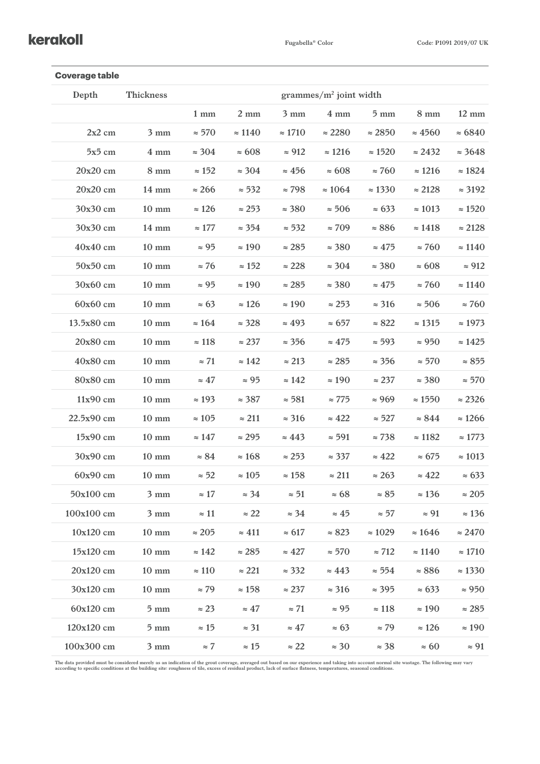#### kerakoll

| <b>Coverage table</b> |                  |                            |                |                           |                |                |                |                 |
|-----------------------|------------------|----------------------------|----------------|---------------------------|----------------|----------------|----------------|-----------------|
| Depth                 | <b>Thickness</b> | grammes/ $m^2$ joint width |                |                           |                |                |                |                 |
|                       |                  | $1 \text{ mm}$             | $2 \text{ mm}$ | $3 \text{ mm}$            | $4 \text{ mm}$ | $5 \text{ mm}$ | $8 \text{ mm}$ | $12 \text{ mm}$ |
| $2x2$ cm              | $3 \text{ mm}$   | $\approx$ 570              | $\approx 1140$ | $\approx 1710$            | $\approx 2280$ | $\approx 2850$ | $\approx 4560$ | $\approx 6840$  |
| $5x5$ cm              | $4 \text{ mm}$   | $\approx$ 304              | $\approx 608$  | $\approx 912$             | $\approx 1216$ | $\approx 1520$ | $\approx$ 2432 | $\approx$ 3648  |
| 20x20 cm              | $8 \text{ mm}$   | $\approx 152$              | $\approx 304$  | $\approx 456$             | $\approx 608$  | $\approx 760$  | $\approx$ 1216 | $\approx 1824$  |
| 20x20 cm              | $14 \text{ mm}$  | $\approx 266$              | $\approx$ 532  | $\approx 798$             | $\approx 1064$ | $\approx 1330$ | $\approx 2128$ | $\approx$ 3192  |
| 30x30 cm              | $10 \text{ mm}$  | $\approx 126$              | $\approx$ 253  | $\approx$ 380             | $\approx$ 506  | $\approx 633$  | $\approx 1013$ | $\approx 1520$  |
| 30x30 cm              | $14 \text{ mm}$  | $\approx 177$              | $\approx$ 354  | $\approx$ 532             | $\approx 709$  | $\approx 886$  | $\approx 1418$ | $\approx 2128$  |
| 40x40 cm              | $10 \text{ mm}$  | $\approx 95$               | $\approx 190$  | $\approx 285$             | $\approx$ 380  | $\approx 475$  | $\approx 760$  | $\approx 1140$  |
| 50x50 cm              | $10 \text{ mm}$  | $\approx$ 76               | $\approx 152$  | $\approx 228$             | $\approx$ 304  | $\approx$ 380  | $\approx 608$  | $\approx 912$   |
| 30x60 cm              | $10 \text{ mm}$  | $\approx 95$               | $\approx 190$  | $\approx 285$             | $\approx$ 380  | $\approx 475$  | $\approx 760$  | $\approx 1140$  |
| $60x60$ cm            | $10 \text{ mm}$  | $\approx 63$               | $\approx 126$  | $\approx 190$             | $\approx$ 253  | $\approx$ 316  | $\approx$ 506  | $\approx 760$   |
| 13.5x80 cm            | $10 \text{ mm}$  | $\approx 164$              | $\approx$ 328  | $\approx 493$             | $\approx 657$  | $\approx 822$  | $\approx 1315$ | $\approx 1973$  |
| 20x80 cm              | $10 \text{ mm}$  | $\approx 118$              | $\approx 237$  | $\approx$ 356             | $\approx 475$  | $\approx$ 593  | $\approx 950$  | $\approx 1425$  |
| 40x80 cm              | $10 \text{ mm}$  | $\approx 71$               | $\approx 142$  | $\approx 213$             | $\approx$ 285  | $\approx$ 356  | $\approx$ 570  | $\approx 855$   |
| 80x80 cm              | $10 \text{ mm}$  | $\approx 47$               | $\approx 95$   | $\approx 142$             | $\approx 190$  | $\approx 237$  | $\approx$ 380  | $\approx$ 570   |
| 11x90 cm              | $10 \text{ mm}$  | $\approx$ 193              | $\approx$ 387  | $\approx$ 581             | $\approx$ 775  | $\approx 969$  | $\approx 1550$ | $\approx$ 2326  |
| 22.5x90 cm            | $10 \text{ mm}$  | $\approx 105$              | $\approx 211$  | $\approx$ 316             | $\approx 422$  | $\approx$ 527  | $\approx 844$  | $\approx$ 1266  |
| 15x90 cm              | $10 \text{ mm}$  | $\approx 147$              | $\approx$ 295  | $\approx 443$             | $\approx$ 591  | $\approx 738$  | $\approx 1182$ | $\approx 1773$  |
| 30x90 cm              | $10 \text{ mm}$  | $\approx 84$               | $\approx 168$  | $\approx$ 253             | $\approx$ 337  | $\approx 422$  | $\approx 675$  | $\approx 1013$  |
| 60x90 cm              | $10 \text{ mm}$  | $\approx$ 52               | $\approx 105$  | $\approx 158$             | $\approx 211$  | $\approx$ 263  | $\approx 422$  | $\approx 633$   |
| 50x100 cm             | $3 \text{ mm}$   | $\approx 17$               |                | $\approx 34$ $\approx 51$ | $\approx 68$   | $\approx 85$   | $\approx 136$  | $\approx 205$   |
| 100x100 cm            | $3 \text{ mm}$   | $\approx$ 11               | $\approx 22$   | $\approx$ 34              | $\approx 45$   | $\approx$ 57   | $\approx 91$   | $\approx 136$   |
| 10x120 cm             | $10 \text{ mm}$  | $\approx 205$              | $\approx 411$  | $\approx 617$             | $\approx 823$  | $\approx 1029$ | $\approx 1646$ | $\approx 2470$  |
| 15x120 cm             | $10 \text{ mm}$  | $\approx 142$              | $\approx$ 285  | $\approx 427$             | $\approx 570$  | $\approx 712$  | $\approx 1140$ | $\approx 1710$  |
| 20x120 cm             | $10 \text{ mm}$  | $\approx 110$              | $\approx 221$  | $\approx$ 332             | $\approx 443$  | $\approx$ 554  | $\approx 886$  | $\approx 1330$  |
| 30x120 cm             | $10 \text{ mm}$  | $\approx 79$               | $\approx 158$  | $\approx 237$             | $\approx$ 316  | $\approx$ 395  | $\approx 633$  | $\approx 950$   |
| 60x120 cm             | $5 \text{ mm}$   | $\approx$ 23               | $\approx 47$   | $\approx 71$              | $\approx 95$   | $\approx 118$  | $\approx 190$  | $\approx 285$   |
| 120x120 cm            | $5 \text{ mm}$   | $\approx 15$               | $\approx$ 31   | $\approx 47$              | $\approx 63$   | $\approx$ 79   | $\approx 126$  | $\approx 190$   |
| 100x300 cm            | $3 \text{ mm}$   | $\approx 7$                | $\approx 15$   | $\approx 22$              | $\approx$ 30   | $\approx$ 38   | $\approx 60$   | $\approx 91$    |

The data provided must be considered merely as an indication of the grout coverage, averaged out based on our experience and taking into account normal site wastage. The following may vary<br>according to specific conditions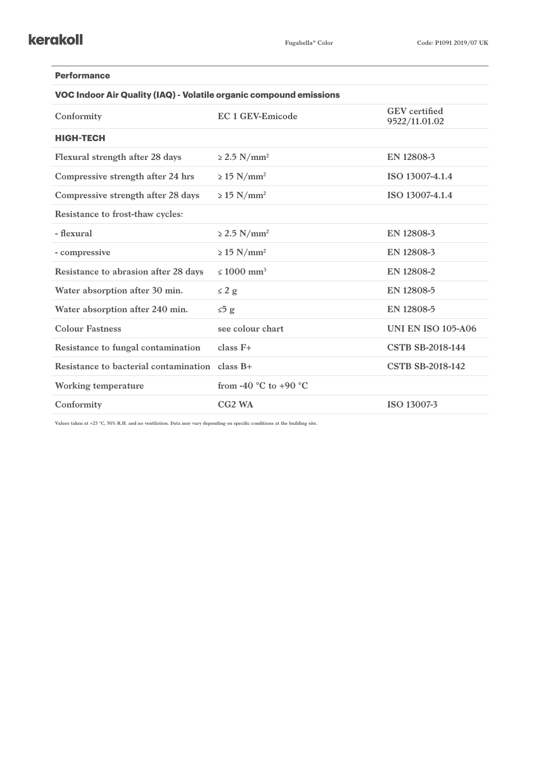| <b>Performance</b>                                                 |                                           |                                       |  |  |  |  |  |
|--------------------------------------------------------------------|-------------------------------------------|---------------------------------------|--|--|--|--|--|
| VOC Indoor Air Quality (IAQ) - Volatile organic compound emissions |                                           |                                       |  |  |  |  |  |
| Conformity                                                         | <b>EC 1 GEV-Emicode</b>                   | <b>GEV</b> certified<br>9522/11.01.02 |  |  |  |  |  |
| <b>HIGH-TECH</b>                                                   |                                           |                                       |  |  |  |  |  |
| Flexural strength after 28 days                                    | $\geq$ 2.5 N/mm <sup>2</sup>              | EN 12808-3                            |  |  |  |  |  |
| Compressive strength after 24 hrs                                  | $\geq$ 15 N/mm <sup>2</sup>               | ISO 13007-4.1.4                       |  |  |  |  |  |
| Compressive strength after 28 days                                 | $\geq$ 15 N/mm <sup>2</sup>               | ISO 13007-4.1.4                       |  |  |  |  |  |
| Resistance to frost-thaw cycles:                                   |                                           |                                       |  |  |  |  |  |
| - flexural                                                         | $\geq$ 2.5 N/mm <sup>2</sup>              | EN 12808-3                            |  |  |  |  |  |
| - compressive                                                      | $\geq$ 15 N/mm <sup>2</sup>               | EN 12808-3                            |  |  |  |  |  |
| Resistance to abrasion after 28 days                               | $\leq 1000$ mm <sup>3</sup>               | EN 12808-2                            |  |  |  |  |  |
| Water absorption after 30 min.                                     | $\leq 2$ g                                | EN 12808-5                            |  |  |  |  |  |
| Water absorption after 240 min.                                    | $\leq 5$ g                                | EN 12808-5                            |  |  |  |  |  |
| <b>Colour Fastness</b>                                             | see colour chart                          | <b>UNI EN ISO 105-A06</b>             |  |  |  |  |  |
| Resistance to fungal contamination                                 | $class F+$                                | <b>CSTB SB-2018-144</b>               |  |  |  |  |  |
| Resistance to bacterial contamination                              | $class B+$                                | <b>CSTB SB-2018-142</b>               |  |  |  |  |  |
| <b>Working temperature</b>                                         | from -40 $^{\circ}$ C to +90 $^{\circ}$ C |                                       |  |  |  |  |  |
| Conformity                                                         | CG <sub>2</sub> W <sub>A</sub>            | ISO 13007-3                           |  |  |  |  |  |

**Values taken at +23 °C, 50% R.H. and no ventilation. Data may vary depending on specific conditions at the building site.**